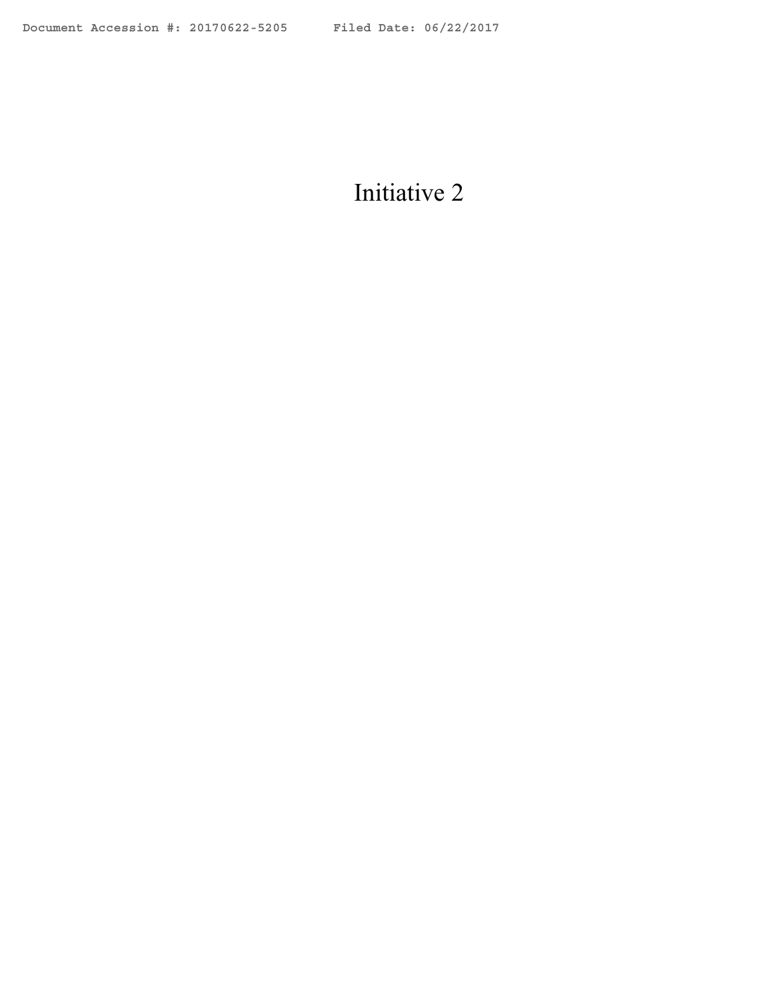# Initiative 2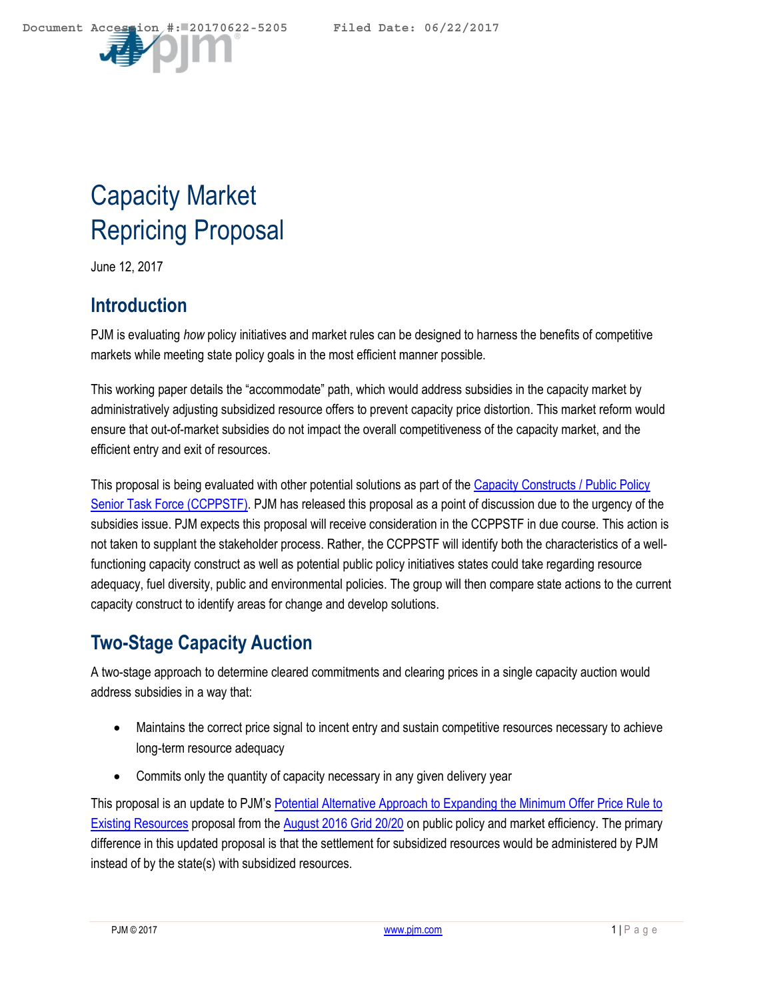

# Capacity Market Repricing Proposal

June 12, 2017

### **Introduction**

PJM is evaluating *how* policy initiatives and market rules can be designed to harness the benefits of competitive markets while meeting state policy goals in the most efficient manner possible.

This working paper details the "accommodate" path, which would address subsidies in the capacity market by administratively adjusting subsidized resource offers to prevent capacity price distortion. This market reform would ensure that out-of-market subsidies do not impact the overall competitiveness of the capacity market, and the efficient entry and exit of resources.

This proposal is being evaluated with other potential solutions as part of the [Capacity Constructs / Public Policy](http://www.pjm.com/committees-and-groups/task-forces/ccppstf.aspx)  [Senior Task Force \(CCPPSTF\).](http://www.pjm.com/committees-and-groups/task-forces/ccppstf.aspx) PJM has released this proposal as a point of discussion due to the urgency of the subsidies issue. PJM expects this proposal will receive consideration in the CCPPSTF in due course. This action is not taken to supplant the stakeholder process. Rather, the CCPPSTF will identify both the characteristics of a wellfunctioning capacity construct as well as potential public policy initiatives states could take regarding resource adequacy, fuel diversity, public and environmental policies. The group will then compare state actions to the current capacity construct to identify areas for change and develop solutions.

## **Two-Stage Capacity Auction**

A two-stage approach to determine cleared commitments and clearing prices in a single capacity auction would address subsidies in a way that:

- Maintains the correct price signal to incent entry and sustain competitive resources necessary to achieve long-term resource adequacy
- Commits only the quantity of capacity necessary in any given delivery year

This proposal is an update to PJM's Potential Alternative Approach to Expanding the Minimum Offer Price Rule to [Existing Resources](http://www.pjm.com/~/media/committees-groups/stakeholder-meetings/grid-2020-focus-on-public-policy-market-efficiency/meeting-materials/20160816-potential-alt-solution-to-the-min-offer-price-rule-for-existing-resources.ashx) proposal from th[e August 2016 Grid 20/20](http://www.pjm.com/committees-and-groups/stakeholder-meetings/symposiums-forums/grid-2020-public-policy-goals-mkt-efficiency.aspx) on public policy and market efficiency. The primary difference in this updated proposal is that the settlement for subsidized resources would be administered by PJM instead of by the state(s) with subsidized resources.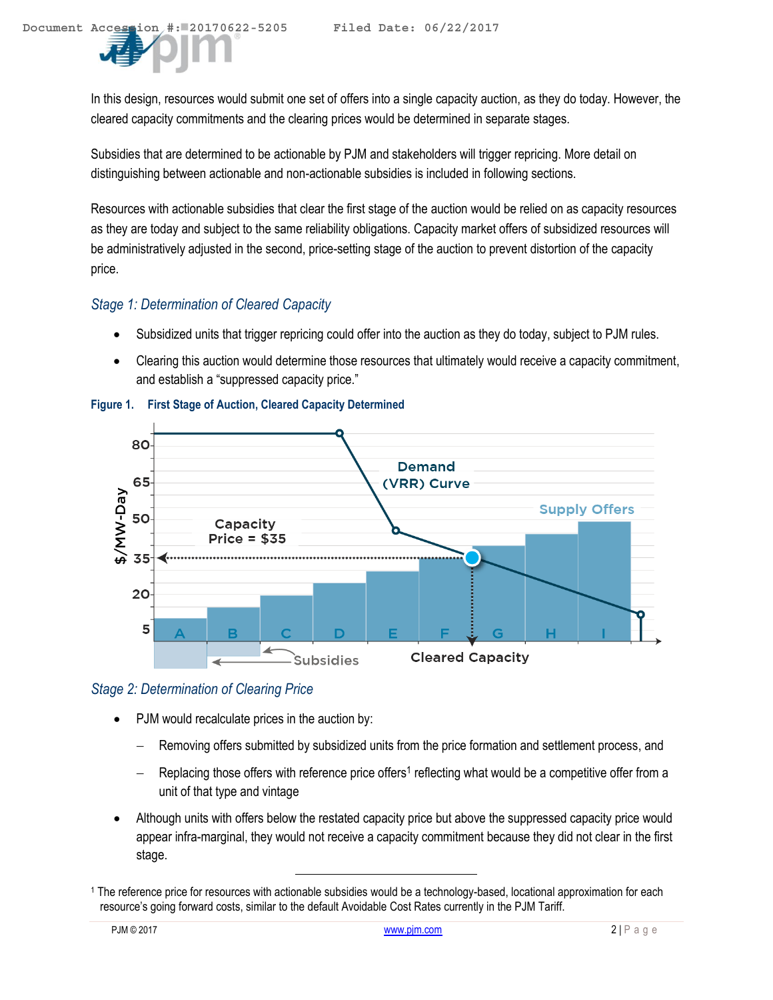In this design, resources would submit one set of offers into a single capacity auction, as they do today. However, the cleared capacity commitments and the clearing prices would be determined in separate stages.

Subsidies that are determined to be actionable by PJM and stakeholders will trigger repricing. More detail on distinguishing between actionable and non-actionable subsidies is included in following sections.

Resources with actionable subsidies that clear the first stage of the auction would be relied on as capacity resources as they are today and subject to the same reliability obligations. Capacity market offers of subsidized resources will be administratively adjusted in the second, price-setting stage of the auction to prevent distortion of the capacity price.

### *Stage 1: Determination of Cleared Capacity*

- Subsidized units that trigger repricing could offer into the auction as they do today, subject to PJM rules.
- Clearing this auction would determine those resources that ultimately would receive a capacity commitment, and establish a "suppressed capacity price."



**Figure 1. First Stage of Auction, Cleared Capacity Determined** 

### *Stage 2: Determination of Clearing Price*

PJM would recalculate prices in the auction by:

- Removing offers submitted by subsidized units from the price formation and settlement process, and
- Replacing those offers with reference price offers<sup>1</sup> reflecting what would be a competitive offer from a unit of that type and vintage
- Although units with offers below the restated capacity price but above the suppressed capacity price would appear infra-marginal, they would not receive a capacity commitment because they did not clear in the first stage.

<sup>1</sup> The reference price for resources with actionable subsidies would be a technology-based, locational approximation for each resource's going forward costs, similar to the default Avoidable Cost Rates currently in the PJM Tariff.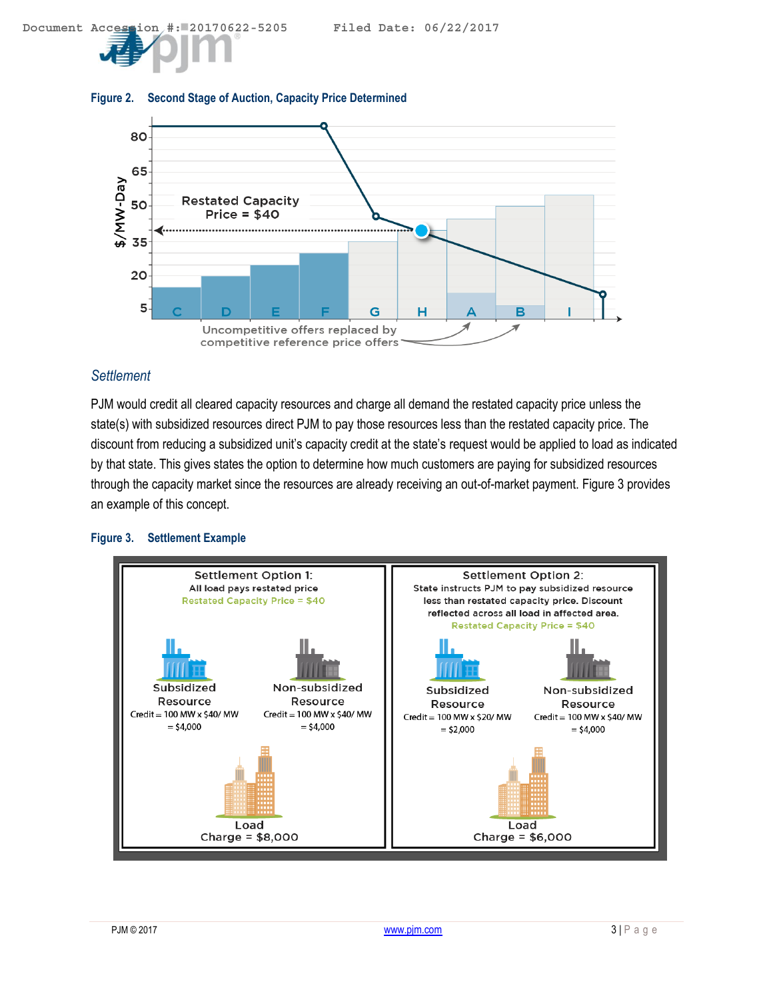

#### **Figure 2. Second Stage of Auction, Capacity Price Determined**

### *Settlement*

PJM would credit all cleared capacity resources and charge all demand the restated capacity price unless the state(s) with subsidized resources direct PJM to pay those resources less than the restated capacity price. The discount from reducing a subsidized unit's capacity credit at the state's request would be applied to load as indicated by that state. This gives states the option to determine how much customers are paying for subsidized resources through the capacity market since the resources are already receiving an out-of-market payment. [Figure 3](#page-3-0) provides an example of this concept.

#### <span id="page-3-0"></span>**Figure 3. Settlement Example**

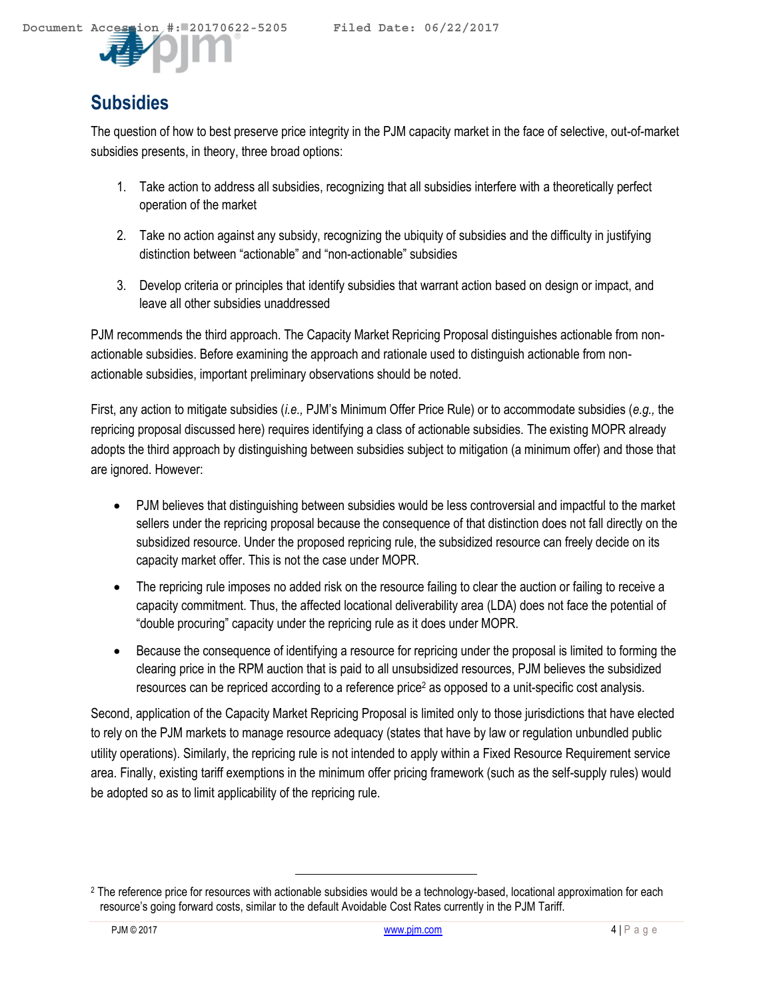## **Subsidies**

The question of how to best preserve price integrity in the PJM capacity market in the face of selective, out-of-market subsidies presents, in theory, three broad options:

- 1. Take action to address all subsidies, recognizing that all subsidies interfere with a theoretically perfect operation of the market
- 2. Take no action against any subsidy, recognizing the ubiquity of subsidies and the difficulty in justifying distinction between "actionable" and "non-actionable" subsidies
- 3. Develop criteria or principles that identify subsidies that warrant action based on design or impact, and leave all other subsidies unaddressed

PJM recommends the third approach. The Capacity Market Repricing Proposal distinguishes actionable from nonactionable subsidies. Before examining the approach and rationale used to distinguish actionable from nonactionable subsidies, important preliminary observations should be noted.

First, any action to mitigate subsidies (*i.e.,* PJM's Minimum Offer Price Rule) or to accommodate subsidies (*e.g.,* the repricing proposal discussed here) requires identifying a class of actionable subsidies. The existing MOPR already adopts the third approach by distinguishing between subsidies subject to mitigation (a minimum offer) and those that are ignored. However:

- PJM believes that distinguishing between subsidies would be less controversial and impactful to the market sellers under the repricing proposal because the consequence of that distinction does not fall directly on the subsidized resource. Under the proposed repricing rule, the subsidized resource can freely decide on its capacity market offer. This is not the case under MOPR.
- The repricing rule imposes no added risk on the resource failing to clear the auction or failing to receive a capacity commitment. Thus, the affected locational deliverability area (LDA) does not face the potential of "double procuring" capacity under the repricing rule as it does under MOPR.
- Because the consequence of identifying a resource for repricing under the proposal is limited to forming the clearing price in the RPM auction that is paid to all unsubsidized resources, PJM believes the subsidized resources can be repriced according to a reference price<sup>2</sup> as opposed to a unit-specific cost analysis.

Second, application of the Capacity Market Repricing Proposal is limited only to those jurisdictions that have elected to rely on the PJM markets to manage resource adequacy (states that have by law or regulation unbundled public utility operations). Similarly, the repricing rule is not intended to apply within a Fixed Resource Requirement service area. Finally, existing tariff exemptions in the minimum offer pricing framework (such as the self-supply rules) would be adopted so as to limit applicability of the repricing rule.

<sup>&</sup>lt;sup>2</sup> The reference price for resources with actionable subsidies would be a technology-based, locational approximation for each resource's going forward costs, similar to the default Avoidable Cost Rates currently in the PJM Tariff.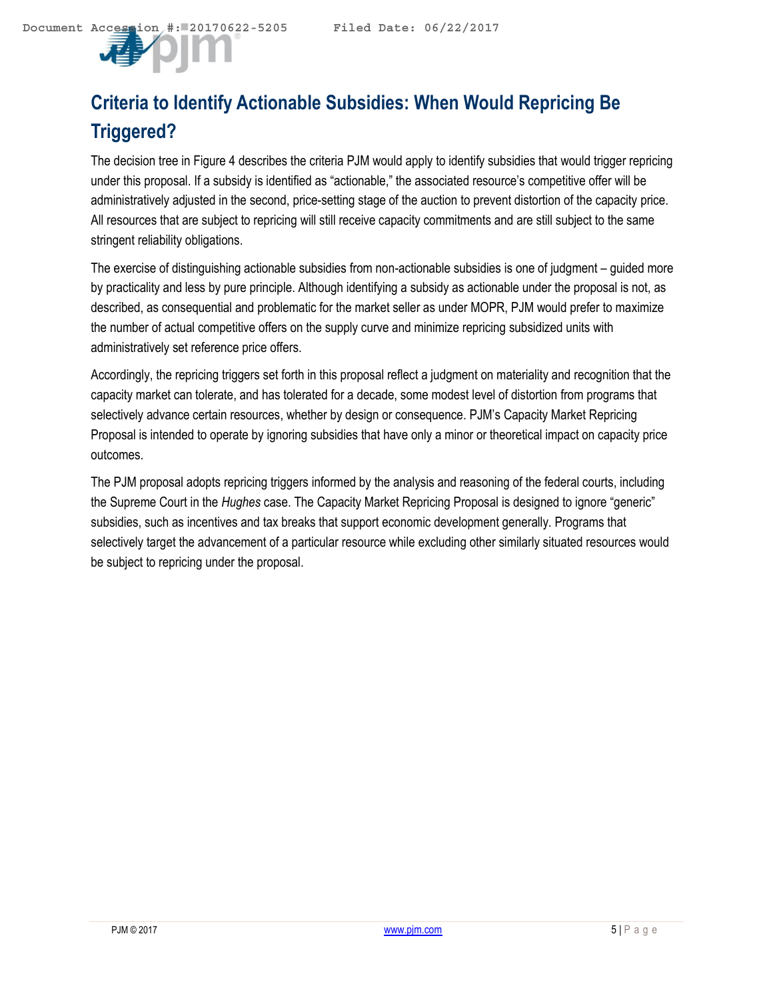

# **Criteria to Identify Actionable Subsidies: When Would Repricing Be Triggered?**

The decision tree in [Figure 4](#page-6-0) describes the criteria PJM would apply to identify subsidies that would trigger repricing under this proposal. If a subsidy is identified as "actionable," the associated resource's competitive offer will be administratively adjusted in the second, price-setting stage of the auction to prevent distortion of the capacity price. All resources that are subject to repricing will still receive capacity commitments and are still subject to the same stringent reliability obligations.

The exercise of distinguishing actionable subsidies from non-actionable subsidies is one of judgment – guided more by practicality and less by pure principle. Although identifying a subsidy as actionable under the proposal is not, as described, as consequential and problematic for the market seller as under MOPR, PJM would prefer to maximize the number of actual competitive offers on the supply curve and minimize repricing subsidized units with administratively set reference price offers.

Accordingly, the repricing triggers set forth in this proposal reflect a judgment on materiality and recognition that the capacity market can tolerate, and has tolerated for a decade, some modest level of distortion from programs that selectively advance certain resources, whether by design or consequence. PJM's Capacity Market Repricing Proposal is intended to operate by ignoring subsidies that have only a minor or theoretical impact on capacity price outcomes.

The PJM proposal adopts repricing triggers informed by the analysis and reasoning of the federal courts, including the Supreme Court in the *Hughes* case. The Capacity Market Repricing Proposal is designed to ignore "generic" subsidies, such as incentives and tax breaks that support economic development generally. Programs that selectively target the advancement of a particular resource while excluding other similarly situated resources would be subject to repricing under the proposal.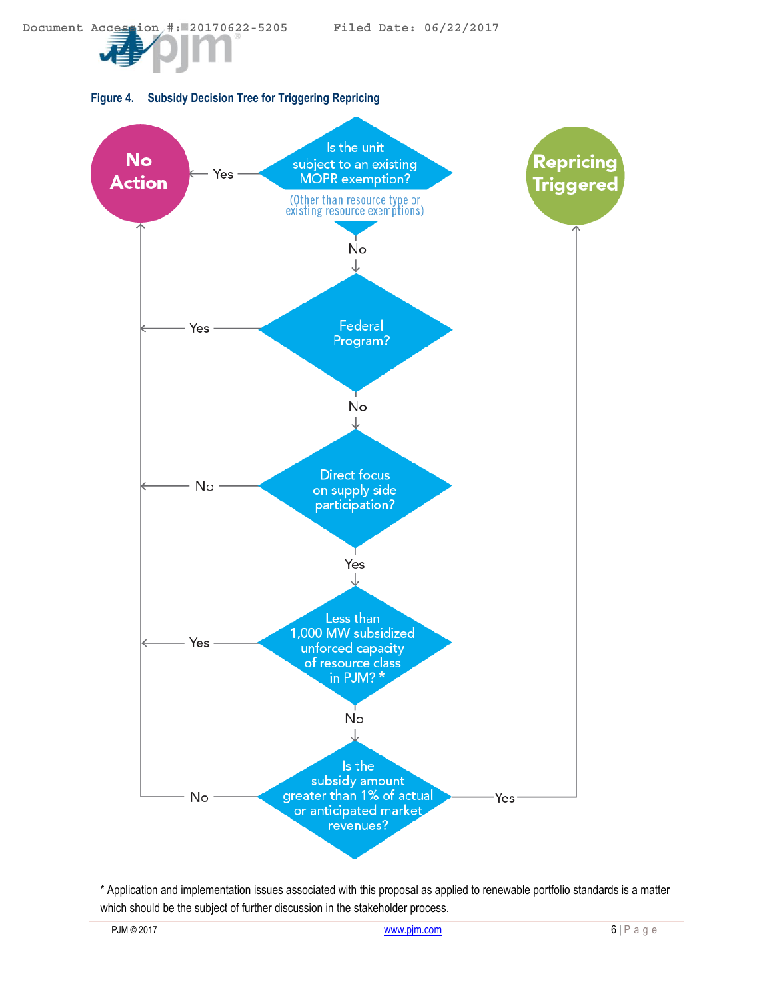**Document Accession #: 20170622-5205 Filed Date: 06/22/2017**

<span id="page-6-0"></span>



\* Application and implementation issues associated with this proposal as applied to renewable portfolio standards is a matter which should be the subject of further discussion in the stakeholder process.